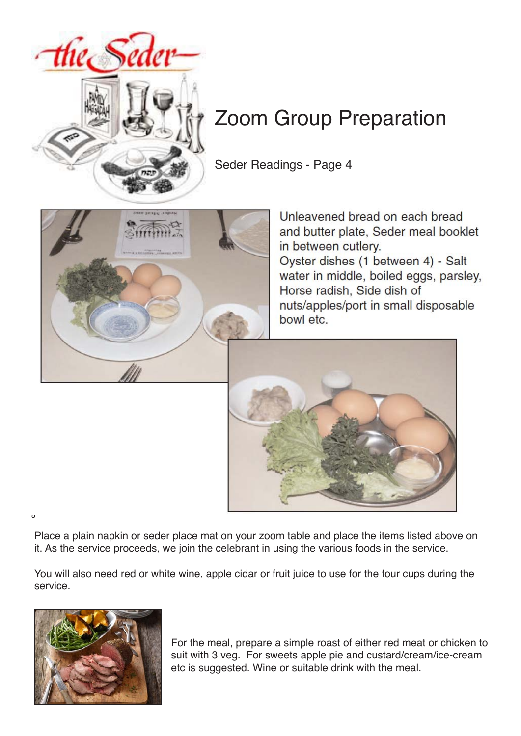

# Zoom Group Preparation

Seder Readings - Page 4



Unleavened bread on each bread and butter plate, Seder meal booklet in between cutlery. Oyster dishes (1 between 4) - Salt water in middle, boiled eggs, parsley, Horse radish, Side dish of nuts/apples/port in small disposable bowl etc.



Place a plain napkin or seder place mat on your zoom table and place the items listed above on it. As the service proceeds, we join the celebrant in using the various foods in the service.

You will also need red or white wine, apple cidar or fruit juice to use for the four cups during the service.



º

For the meal, prepare a simple roast of either red meat or chicken to suit with 3 veg. For sweets apple pie and custard/cream/ice-cream etc is suggested. Wine or suitable drink with the meal.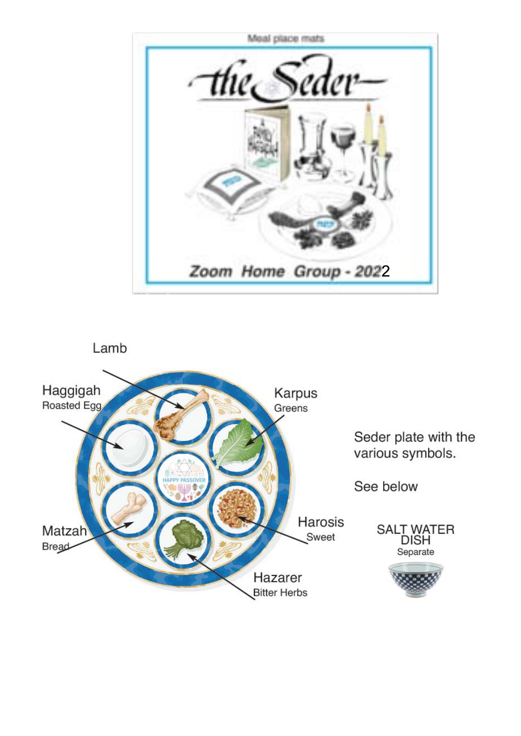

Lamb

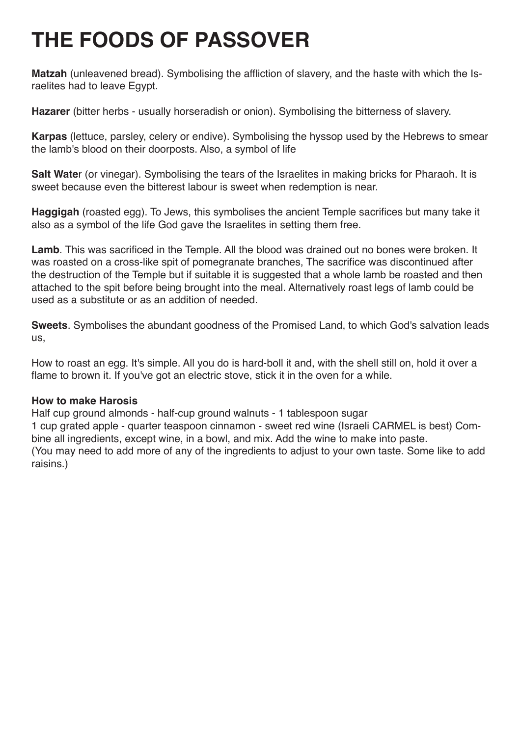# **THE FOODS OF PASSOVER**

**Matzah** (unleavened bread). Symbolising the affliction of slavery, and the haste with which the Israelites had to leave Egypt.

**Hazarer** (bitter herbs - usually horseradish or onion). Symbolising the bitterness of slavery.

**Karpas** (lettuce, parsley, celery or endive). Symbolising the hyssop used by the Hebrews to smear the lamb's blood on their doorposts. Also, a symbol of life

**Salt Wate**r (or vinegar). Symbolising the tears of the Israelites in making bricks for Pharaoh. It is sweet because even the bitterest labour is sweet when redemption is near.

**Haggigah** (roasted egg). To Jews, this symbolises the ancient Temple sacrifices but many take it also as a symbol of the life God gave the Israelites in setting them free.

**Lamb**. This was sacrificed in the Temple. All the blood was drained out no bones were broken. It was roasted on a cross-like spit of pomegranate branches, The sacrifice was discontinued after the destruction of the Temple but if suitable it is suggested that a whole lamb be roasted and then attached to the spit before being brought into the meal. Alternatively roast legs of lamb could be used as a substitute or as an addition of needed.

**Sweets**. Symbolises the abundant goodness of the Promised Land, to which God's salvation leads us,

How to roast an egg. It's simple. All you do is hard-boll it and, with the shell still on, hold it over a flame to brown it. If you've got an electric stove, stick it in the oven for a while.

## **How to make Harosis**

Half cup ground almonds - half-cup ground walnuts - 1 tablespoon sugar 1 cup grated apple - quarter teaspoon cinnamon - sweet red wine (Israeli CARMEL is best) Combine all ingredients, except wine, in a bowl, and mix. Add the wine to make into paste. (You may need to add more of any of the ingredients to adjust to your own taste. Some like to add raisins.)